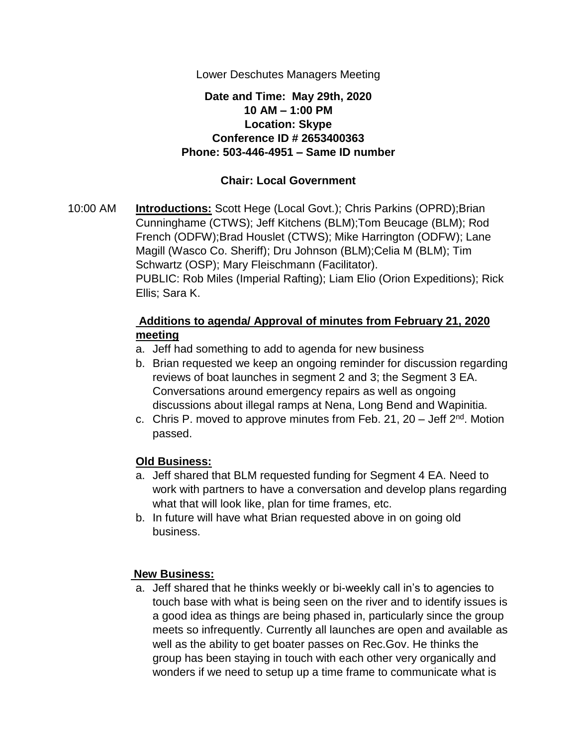Lower Deschutes Managers Meeting

## **Date and Time: May 29th, 2020 10 AM – 1:00 PM Location: Skype Conference ID # 2653400363 Phone: 503-446-4951 – Same ID number**

# **Chair: Local Government**

10:00 AM **Introductions:** Scott Hege (Local Govt.); Chris Parkins (OPRD);Brian Cunninghame (CTWS); Jeff Kitchens (BLM);Tom Beucage (BLM); Rod French (ODFW);Brad Houslet (CTWS); Mike Harrington (ODFW); Lane Magill (Wasco Co. Sheriff); Dru Johnson (BLM);Celia M (BLM); Tim Schwartz (OSP); Mary Fleischmann (Facilitator). PUBLIC: Rob Miles (Imperial Rafting); Liam Elio (Orion Expeditions); Rick Ellis; Sara K.

# **Additions to agenda/ Approval of minutes from February 21, 2020 meeting**

- a. Jeff had something to add to agenda for new business
- b. Brian requested we keep an ongoing reminder for discussion regarding reviews of boat launches in segment 2 and 3; the Segment 3 EA. Conversations around emergency repairs as well as ongoing discussions about illegal ramps at Nena, Long Bend and Wapinitia.
- c. Chris P. moved to approve minutes from Feb. 21, 20 Jeff  $2<sup>nd</sup>$ . Motion passed.

## **Old Business:**

- a. Jeff shared that BLM requested funding for Segment 4 EA. Need to work with partners to have a conversation and develop plans regarding what that will look like, plan for time frames, etc.
- b. In future will have what Brian requested above in on going old business.

## **New Business:**

a. Jeff shared that he thinks weekly or bi-weekly call in's to agencies to touch base with what is being seen on the river and to identify issues is a good idea as things are being phased in, particularly since the group meets so infrequently. Currently all launches are open and available as well as the ability to get boater passes on Rec.Gov. He thinks the group has been staying in touch with each other very organically and wonders if we need to setup up a time frame to communicate what is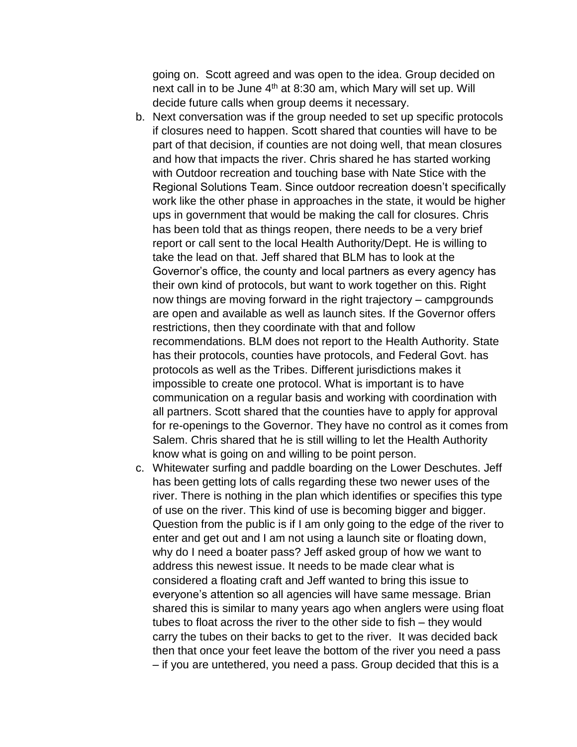going on. Scott agreed and was open to the idea. Group decided on next call in to be June  $4<sup>th</sup>$  at 8:30 am, which Mary will set up. Will decide future calls when group deems it necessary.

- b. Next conversation was if the group needed to set up specific protocols if closures need to happen. Scott shared that counties will have to be part of that decision, if counties are not doing well, that mean closures and how that impacts the river. Chris shared he has started working with Outdoor recreation and touching base with Nate Stice with the Regional Solutions Team. Since outdoor recreation doesn't specifically work like the other phase in approaches in the state, it would be higher ups in government that would be making the call for closures. Chris has been told that as things reopen, there needs to be a very brief report or call sent to the local Health Authority/Dept. He is willing to take the lead on that. Jeff shared that BLM has to look at the Governor's office, the county and local partners as every agency has their own kind of protocols, but want to work together on this. Right now things are moving forward in the right trajectory – campgrounds are open and available as well as launch sites. If the Governor offers restrictions, then they coordinate with that and follow recommendations. BLM does not report to the Health Authority. State has their protocols, counties have protocols, and Federal Govt. has protocols as well as the Tribes. Different jurisdictions makes it impossible to create one protocol. What is important is to have communication on a regular basis and working with coordination with all partners. Scott shared that the counties have to apply for approval for re-openings to the Governor. They have no control as it comes from Salem. Chris shared that he is still willing to let the Health Authority know what is going on and willing to be point person.
- c. Whitewater surfing and paddle boarding on the Lower Deschutes. Jeff has been getting lots of calls regarding these two newer uses of the river. There is nothing in the plan which identifies or specifies this type of use on the river. This kind of use is becoming bigger and bigger. Question from the public is if I am only going to the edge of the river to enter and get out and I am not using a launch site or floating down, why do I need a boater pass? Jeff asked group of how we want to address this newest issue. It needs to be made clear what is considered a floating craft and Jeff wanted to bring this issue to everyone's attention so all agencies will have same message. Brian shared this is similar to many years ago when anglers were using float tubes to float across the river to the other side to fish – they would carry the tubes on their backs to get to the river. It was decided back then that once your feet leave the bottom of the river you need a pass – if you are untethered, you need a pass. Group decided that this is a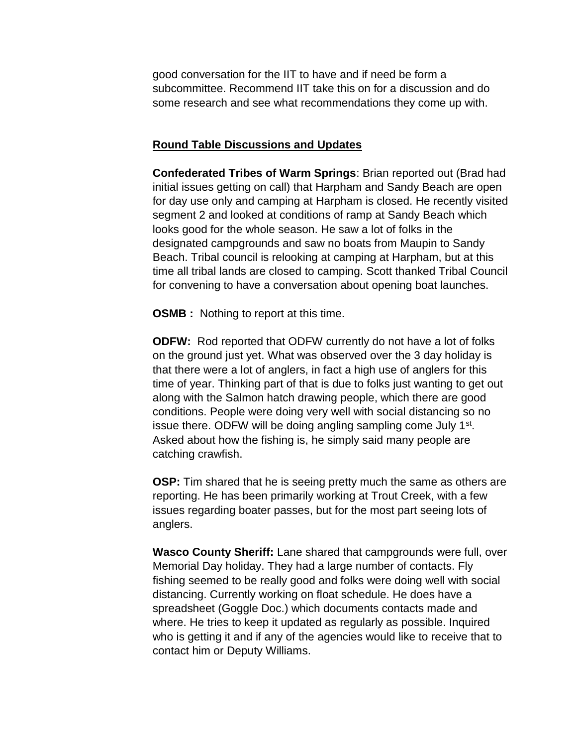good conversation for the IIT to have and if need be form a subcommittee. Recommend IIT take this on for a discussion and do some research and see what recommendations they come up with.

#### **Round Table Discussions and Updates**

**Confederated Tribes of Warm Springs**: Brian reported out (Brad had initial issues getting on call) that Harpham and Sandy Beach are open for day use only and camping at Harpham is closed. He recently visited segment 2 and looked at conditions of ramp at Sandy Beach which looks good for the whole season. He saw a lot of folks in the designated campgrounds and saw no boats from Maupin to Sandy Beach. Tribal council is relooking at camping at Harpham, but at this time all tribal lands are closed to camping. Scott thanked Tribal Council for convening to have a conversation about opening boat launches.

**OSMB** : Nothing to report at this time.

**ODFW:** Rod reported that ODFW currently do not have a lot of folks on the ground just yet. What was observed over the 3 day holiday is that there were a lot of anglers, in fact a high use of anglers for this time of year. Thinking part of that is due to folks just wanting to get out along with the Salmon hatch drawing people, which there are good conditions. People were doing very well with social distancing so no issue there. ODFW will be doing angling sampling come July 1<sup>st</sup>. Asked about how the fishing is, he simply said many people are catching crawfish.

**OSP:** Tim shared that he is seeing pretty much the same as others are reporting. He has been primarily working at Trout Creek, with a few issues regarding boater passes, but for the most part seeing lots of anglers.

**Wasco County Sheriff:** Lane shared that campgrounds were full, over Memorial Day holiday. They had a large number of contacts. Fly fishing seemed to be really good and folks were doing well with social distancing. Currently working on float schedule. He does have a spreadsheet (Goggle Doc.) which documents contacts made and where. He tries to keep it updated as regularly as possible. Inquired who is getting it and if any of the agencies would like to receive that to contact him or Deputy Williams.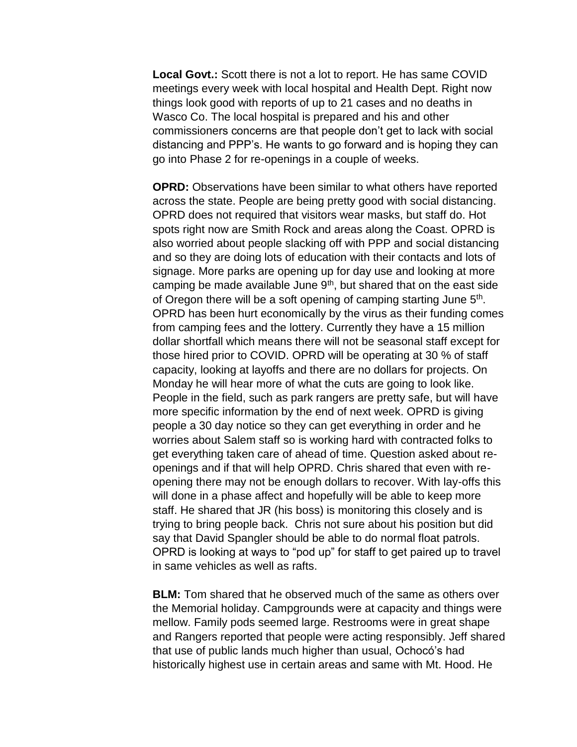**Local Govt.:** Scott there is not a lot to report. He has same COVID meetings every week with local hospital and Health Dept. Right now things look good with reports of up to 21 cases and no deaths in Wasco Co. The local hospital is prepared and his and other commissioners concerns are that people don't get to lack with social distancing and PPP's. He wants to go forward and is hoping they can go into Phase 2 for re-openings in a couple of weeks.

**OPRD:** Observations have been similar to what others have reported across the state. People are being pretty good with social distancing. OPRD does not required that visitors wear masks, but staff do. Hot spots right now are Smith Rock and areas along the Coast. OPRD is also worried about people slacking off with PPP and social distancing and so they are doing lots of education with their contacts and lots of signage. More parks are opening up for day use and looking at more camping be made available June  $9<sup>th</sup>$ , but shared that on the east side of Oregon there will be a soft opening of camping starting June 5<sup>th</sup>. OPRD has been hurt economically by the virus as their funding comes from camping fees and the lottery. Currently they have a 15 million dollar shortfall which means there will not be seasonal staff except for those hired prior to COVID. OPRD will be operating at 30 % of staff capacity, looking at layoffs and there are no dollars for projects. On Monday he will hear more of what the cuts are going to look like. People in the field, such as park rangers are pretty safe, but will have more specific information by the end of next week. OPRD is giving people a 30 day notice so they can get everything in order and he worries about Salem staff so is working hard with contracted folks to get everything taken care of ahead of time. Question asked about reopenings and if that will help OPRD. Chris shared that even with reopening there may not be enough dollars to recover. With lay-offs this will done in a phase affect and hopefully will be able to keep more staff. He shared that JR (his boss) is monitoring this closely and is trying to bring people back. Chris not sure about his position but did say that David Spangler should be able to do normal float patrols. OPRD is looking at ways to "pod up" for staff to get paired up to travel in same vehicles as well as rafts.

**BLM:** Tom shared that he observed much of the same as others over the Memorial holiday. Campgrounds were at capacity and things were mellow. Family pods seemed large. Restrooms were in great shape and Rangers reported that people were acting responsibly. Jeff shared that use of public lands much higher than usual, Ochocó's had historically highest use in certain areas and same with Mt. Hood. He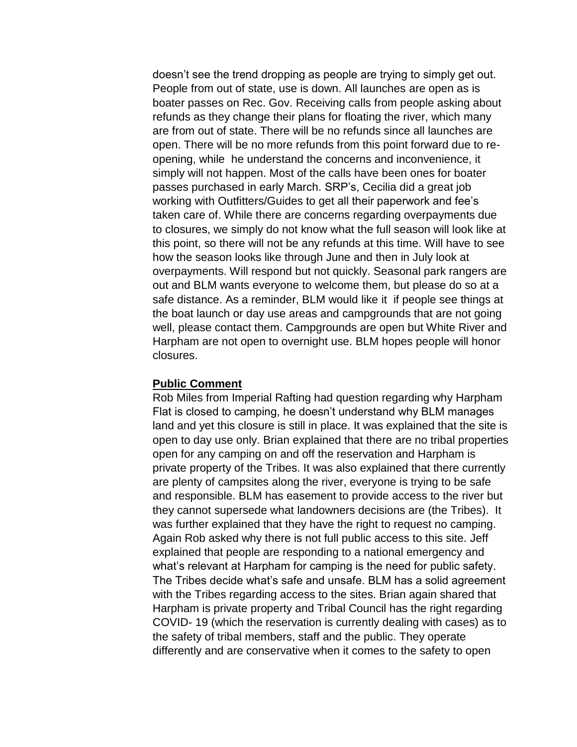doesn't see the trend dropping as people are trying to simply get out. People from out of state, use is down. All launches are open as is boater passes on Rec. Gov. Receiving calls from people asking about refunds as they change their plans for floating the river, which many are from out of state. There will be no refunds since all launches are open. There will be no more refunds from this point forward due to reopening, while he understand the concerns and inconvenience, it simply will not happen. Most of the calls have been ones for boater passes purchased in early March. SRP's, Cecilia did a great job working with Outfitters/Guides to get all their paperwork and fee's taken care of. While there are concerns regarding overpayments due to closures, we simply do not know what the full season will look like at this point, so there will not be any refunds at this time. Will have to see how the season looks like through June and then in July look at overpayments. Will respond but not quickly. Seasonal park rangers are out and BLM wants everyone to welcome them, but please do so at a safe distance. As a reminder, BLM would like it if people see things at the boat launch or day use areas and campgrounds that are not going well, please contact them. Campgrounds are open but White River and Harpham are not open to overnight use. BLM hopes people will honor closures.

#### **Public Comment**

Rob Miles from Imperial Rafting had question regarding why Harpham Flat is closed to camping, he doesn't understand why BLM manages land and yet this closure is still in place. It was explained that the site is open to day use only. Brian explained that there are no tribal properties open for any camping on and off the reservation and Harpham is private property of the Tribes. It was also explained that there currently are plenty of campsites along the river, everyone is trying to be safe and responsible. BLM has easement to provide access to the river but they cannot supersede what landowners decisions are (the Tribes). It was further explained that they have the right to request no camping. Again Rob asked why there is not full public access to this site. Jeff explained that people are responding to a national emergency and what's relevant at Harpham for camping is the need for public safety. The Tribes decide what's safe and unsafe. BLM has a solid agreement with the Tribes regarding access to the sites. Brian again shared that Harpham is private property and Tribal Council has the right regarding COVID- 19 (which the reservation is currently dealing with cases) as to the safety of tribal members, staff and the public. They operate differently and are conservative when it comes to the safety to open